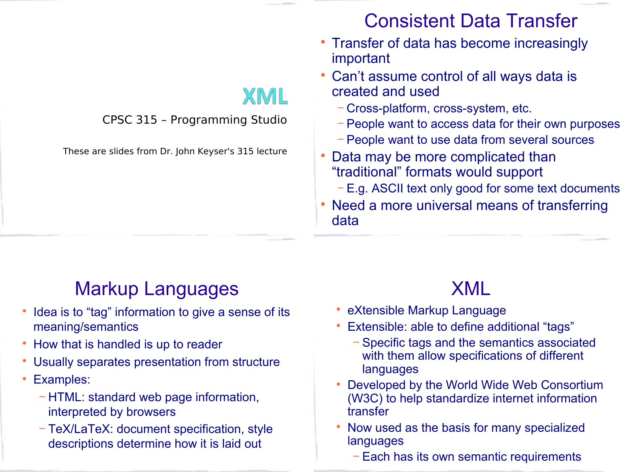# XML

CPSC 315 – Programming Studio

These are slides from Dr. John Keyser's 315 lecture

#### Consistent Data Transfer

- Transfer of data has become increasingly important
- Can't assume control of all ways data is created and used
	- − Cross-platform, cross-system, etc.
	- − People want to access data for their own purposes
	- − People want to use data from several sources
- Data may be more complicated than "traditional" formats would support
	- − E.g. ASCII text only good for some text documents
- Need a more universal means of transferring data

## Markup Languages

- Idea is to "tag" information to give a sense of its meaning/semantics
- How that is handled is up to reader
- Usually separates presentation from structure
- Examples:
	- − HTML: standard web page information, interpreted by browsers
	- − TeX/LaTeX: document specification, style descriptions determine how it is laid out

## XML

- eXtensible Markup Language
- Extensible: able to define additional "tags"
	- − Specific tags and the semantics associated with them allow specifications of different languages
- Developed by the World Wide Web Consortium (W3C) to help standardize internet information transfer
- Now used as the basis for many specialized languages
	- − Each has its own semantic requirements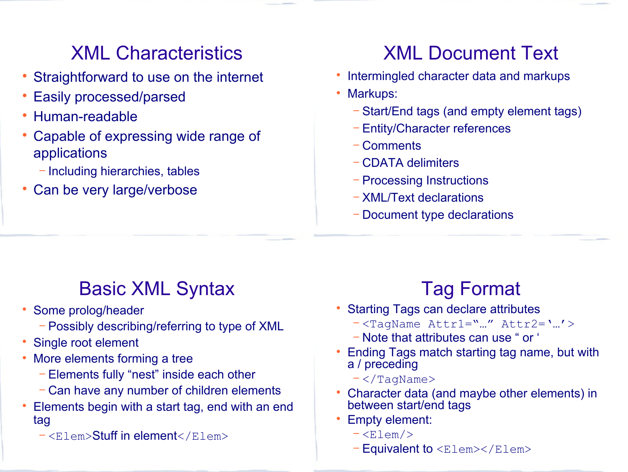## XML Characteristics

- Straightforward to use on the internet
- Easily processed/parsed
- Human-readable
- Capable of expressing wide range of applications
	- − Including hierarchies, tables
- Can be very large/verbose

## XML Document Text

- Intermingled character data and markups
- Markups:
	- − Start/End tags (and empty element tags)
	- − Entity/Character references
	- − Comments
	- − CDATA delimiters
	- − Processing Instructions
	- − XML/Text declarations
	- − Document type declarations

#### Basic XML Syntax

- Some prolog/header
	- − Possibly describing/referring to type of XML
- Single root element
- More elements forming a tree
	- − Elements fully "nest" inside each other
	- − Can have any number of children elements
- Elements begin with a start tag, end with an end tag
	- <sup>−</sup> <Elem>Stuff in element</Elem>

## Tag Format

- Starting Tags can declare attributes
	- − <TagName Attr1="…" Attr2='…'>
	- − Note that attributes can use " or '
- Ending Tags match starting tag name, but with a / preceding
	- − </TagName>
- Character data (and maybe other elements) in between start/end tags
- Empty element:
	- − <Elem/>
	- <sup>−</sup> Equivalent to <Elem></Elem>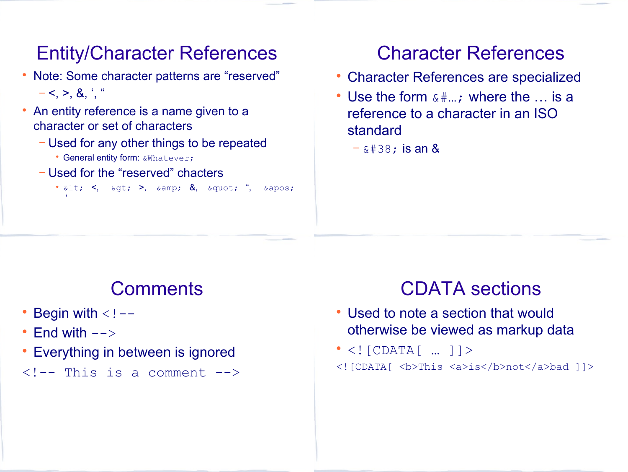### Entity/Character References

- Note: Some character patterns are "reserved"  $-$  <, >, &, ', "
- An entity reference is a name given to a character or set of characters
	- − Used for any other things to be repeated
		- General entity form: &Whatever;
	- − Used for the "reserved" chacters

• < <, &gt; >, &amp; &, &quot; ", &apos; '

## Character References

- Character References are specialized
- Use the form  $& 4...;$  where the ... is a reference to a character in an ISO standard
	- $-$  & #38 : is an &

#### **Comments**

- Begin with  $\lt$ !  $--$
- End with  $--$
- Everything in between is ignored
- $\langle$ !-- This is a comment -->

#### CDATA sections

- Used to note a section that would otherwise be viewed as markup data
- $\bullet$  <! [CDATA[  $\ldots$  ]]>
- <![CDATA[ <b>This <a>is</b>not</a>bad ]]>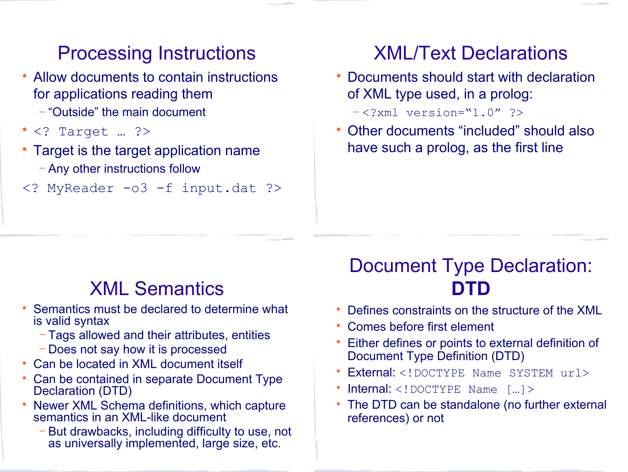#### Processing Instructions

- Allow documents to contain instructions for applications reading them
	- − "Outside" the main document
- $\cdot$  <? Target ... ?>
- Target is the target application name
	- − Any other instructions follow
- <? MyReader -o3 -f input.dat ?>

## XML/Text Declarations

- Documents should start with declaration of XML type used, in a prolog:
	- − <?xml version="1.0" ?>
- Other documents "included" should also have such a prolog, as the first line

#### XML Semantics

- Semantics must be declared to determine what is valid syntax
	- − Tags allowed and their attributes, entities
	- − Does not say how it is processed
- Can be located in XML document itself
- Can be contained in separate Document Type Declaration (DTD)
- Newer XML Schema definitions, which capture semantics in an XML-like document
	- − But drawbacks, including difficulty to use, not as universally implemented, large size, etc.

#### Document Type Declaration: **DTD**

- Defines constraints on the structure of the XML
- Comes before first element
- Either defines or points to external definition of Document Type Definition (DTD)
- External: <! DOCTYPE Name SYSTEM url>
- Internal: <! DOCTYPE Name [...]>
- The DTD can be standalone (no further external references) or not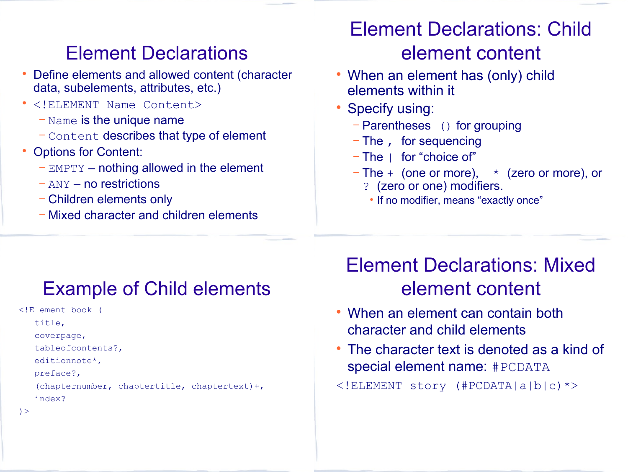#### Element Declarations

- Define elements and allowed content (character data, subelements, attributes, etc.)
- <!ELEMENT Name Content>
	- <sup>−</sup> Name is the unique name
	- <sup>−</sup> Content describes that type of element
- Options for Content:
	- <sup>−</sup> EMPTY nothing allowed in the element
	- <sup>−</sup> ANY no restrictions
	- − Children elements only
	- − Mixed character and children elements

## Element Declarations: Child element content

- When an element has (only) child elements within it
- Specify using:
	- <sup>−</sup> Parentheses () for grouping
	- <sup>−</sup> The , for sequencing
	- <sup>−</sup> The | for "choice of"
	- <sup>−</sup> The + (one or more), \* (zero or more), or
		- ? (zero or one) modifiers.
		- If no modifier, means "exactly once"

## Example of Child elements

```
<!Element book (
```

```
title,
```
coverpage,

```
tableofcontents?,
```
editionnote\*,

#### preface?,

```
(chapternumber, chaptertitle, chaptertext)+,
index?
```
## Element Declarations: Mixed element content

- When an element can contain both character and child elements
- The character text is denoted as a kind of special element name: #PCDATA

<!ELEMENT story (#PCDATA|a|b|c)\*>

)>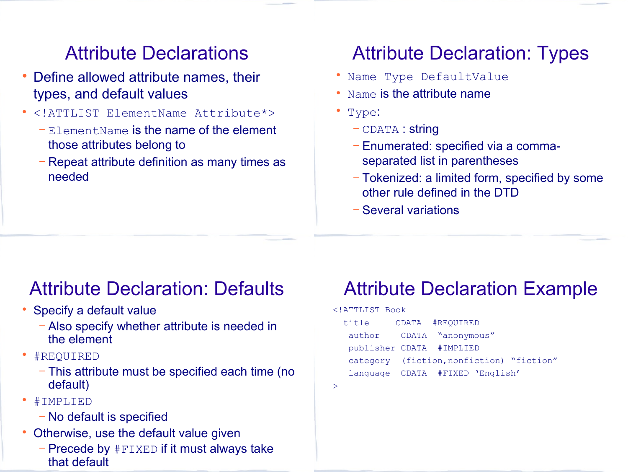### Attribute Declarations

- Define allowed attribute names, their types, and default values
- <!ATTLIST ElementName Attribute\*>
	- <sup>−</sup> ElementName is the name of the element those attributes belong to
	- − Repeat attribute definition as many times as needed

## Attribute Declaration: Types

- Name Type DefaultValue
- Name is the attribute name
- Type:
	- <sup>−</sup> CDATA : string
	- − Enumerated: specified via a commaseparated list in parentheses
	- − Tokenized: a limited form, specified by some other rule defined in the DTD
	- − Several variations

#### Attribute Declaration: Defaults

- Specify a default value
	- − Also specify whether attribute is needed in the element
- #REQUIRED
	- − This attribute must be specified each time (no default)
- #IMPLIED
	- − No default is specified
- Otherwise, use the default value given
	- <sup>−</sup> Precede by #FIXED if it must always take that default

#### Attribute Declaration Example

```
<!ATTLIST Book
   title CDATA #REQUIRED
  author CDATA "anonymous"
  publisher CDATA #IMPLIED
  category (fiction,nonfiction) "fiction"
  language CDATA #FIXED 'English'
>
```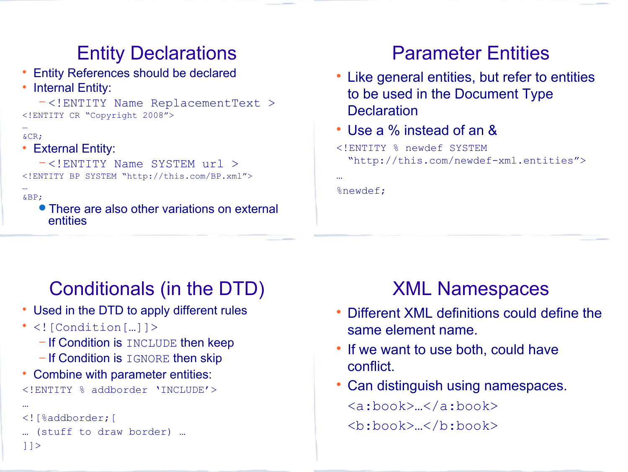## Entity Declarations

- Entity References should be declared
- Internal Entity:

− <!ENTITY Name ReplacementText > <!ENTITY CR "Copyright 2008">

#### … &CR;

• External Entity:

− <!ENTITY Name SYSTEM url > <!ENTITY BP SYSTEM "http://this.com/BP.xml">

… &BP;

• There are also other variations on external entities

### Parameter Entities

- Like general entities, but refer to entities to be used in the Document Type **Declaration**
- Use a % instead of an &

```
<!ENTITY % newdef SYSTEM 
 "http://this.com/newdef-xml.entities">
```
%newdef;

…

## Conditionals (in the DTD)

- Used in the DTD to apply different rules
- <![Condition[…]]>
	- <sup>−</sup> If Condition is INCLUDE then keep
	- <sup>−</sup> If Condition is IGNORE then skip
- Combine with parameter entities:

<!ENTITY % addborder 'INCLUDE'>

```
…
<![%addborder;[
… (stuff to draw border) …
```
## XML Namespaces

- Different XML definitions could define the same element name.
- If we want to use both, could have conflict.
- Can distinguish using namespaces. <a:book>…</a:book>  $\le$  **/b: book>**

 $|$ ]  $>$